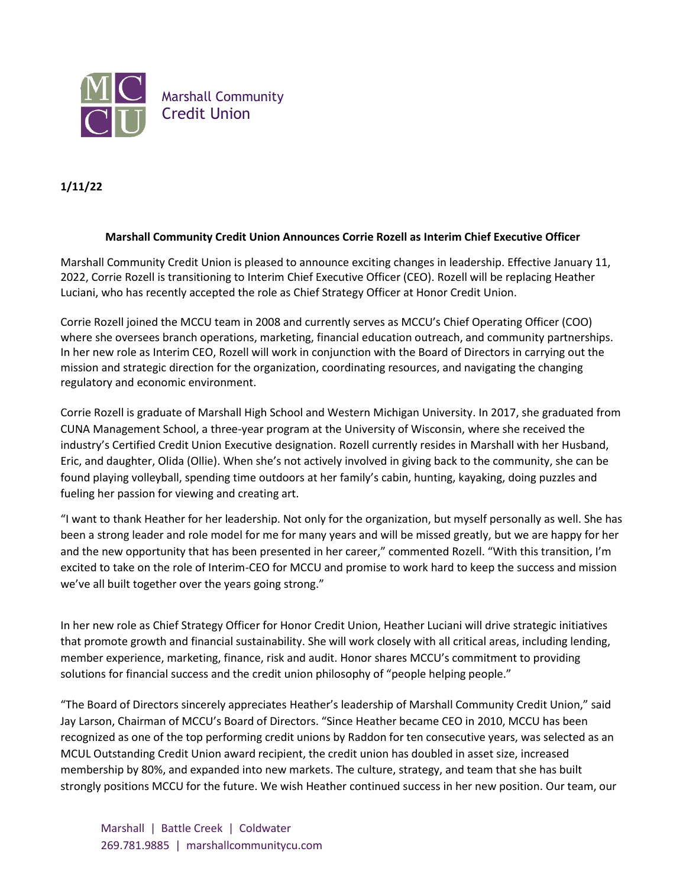

## **1/11/22**

## **Marshall Community Credit Union Announces Corrie Rozell as Interim Chief Executive Officer**

Marshall Community Credit Union is pleased to announce exciting changes in leadership. Effective January 11, 2022, Corrie Rozell is transitioning to Interim Chief Executive Officer (CEO). Rozell will be replacing Heather Luciani, who has recently accepted the role as Chief Strategy Officer at Honor Credit Union.

Corrie Rozell joined the MCCU team in 2008 and currently serves as MCCU's Chief Operating Officer (COO) where she oversees branch operations, marketing, financial education outreach, and community partnerships. In her new role as Interim CEO, Rozell will work in conjunction with the Board of Directors in carrying out the mission and strategic direction for the organization, coordinating resources, and navigating the changing regulatory and economic environment.

Corrie Rozell is graduate of Marshall High School and Western Michigan University. In 2017, she graduated from CUNA Management School, a three-year program at the University of Wisconsin, where she received the industry's Certified Credit Union Executive designation. Rozell currently resides in Marshall with her Husband, Eric, and daughter, Olida (Ollie). When she's not actively involved in giving back to the community, she can be found playing volleyball, spending time outdoors at her family's cabin, hunting, kayaking, doing puzzles and fueling her passion for viewing and creating art.

"I want to thank Heather for her leadership. Not only for the organization, but myself personally as well. She has been a strong leader and role model for me for many years and will be missed greatly, but we are happy for her and the new opportunity that has been presented in her career," commented Rozell. "With this transition, I'm excited to take on the role of Interim-CEO for MCCU and promise to work hard to keep the success and mission we've all built together over the years going strong."

In her new role as Chief Strategy Officer for Honor Credit Union, Heather Luciani will drive strategic initiatives that promote growth and financial sustainability. She will work closely with all critical areas, including lending, member experience, marketing, finance, risk and audit. Honor shares MCCU's commitment to providing solutions for financial success and the credit union philosophy of "people helping people."

"The Board of Directors sincerely appreciates Heather's leadership of Marshall Community Credit Union," said Jay Larson, Chairman of MCCU's Board of Directors. "Since Heather became CEO in 2010, MCCU has been recognized as one of the top performing credit unions by Raddon for ten consecutive years, was selected as an MCUL Outstanding Credit Union award recipient, the credit union has doubled in asset size, increased membership by 80%, and expanded into new markets. The culture, strategy, and team that she has built strongly positions MCCU for the future. We wish Heather continued success in her new position. Our team, our